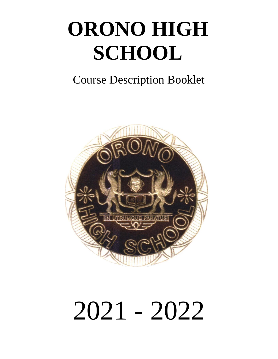# **ORONO HIGH SCHOOL**

# Course Description Booklet



# 2021 - 2022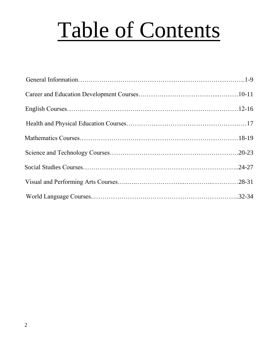# Table of Contents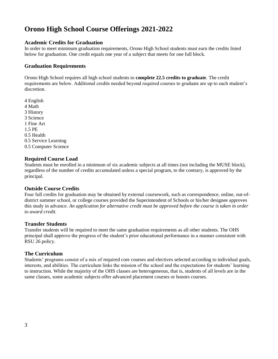# **Orono High School Course Offerings 2021-2022**

### **Academic Credits for Graduation**

In order to meet minimum graduation requirements, Orono High School students must earn the credits listed below for graduation. One credit equals one year of a subject that meets for one full block.

### **Graduation Requirements**

Orono High School requires all high school students to **complete 22.5 credits to graduate**. The credit requirements are below. Additional credits needed beyond required courses to graduate are up to each student's discretion.

4 English 4 Math 3 History 3 Science 1 Fine Art 1.5 PE 0.5 Health 0.5 Service Learning 0.5 Computer Science

#### **Required Course Load**

Students must be enrolled in a minimum of six academic subjects at all times (not including the MUSE block), regardless of the number of credits accumulated unless a special program, to the contrary, is approved by the principal.

#### **Outside Course Credits**

Four full credits for graduation may be obtained by external coursework, such as correspondence, online, out-ofdistrict summer school, or college courses provided the Superintendent of Schools or his/her designee approves this study in advance. *An application for alternative credit must be approved before the course is taken in order to award credit.* 

#### **Transfer Students**

Transfer students will be required to meet the same graduation requirements as all other students. The OHS principal shall approve the progress of the student's prior educational performance in a manner consistent with RSU 26 policy.

#### **The Curriculum**

Students' programs consist of a mix of required core courses and electives selected according to individual goals, interests, and abilities. The curriculum links the mission of the school and the expectations for students' learning to instruction. While the majority of the OHS classes are heterogeneous, that is, students of all levels are in the same classes, some academic subjects offer advanced placement courses or honors courses.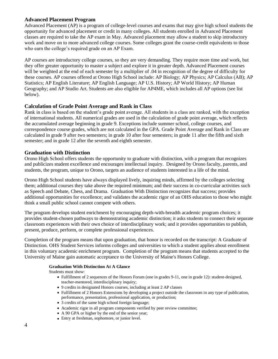### **Advanced Placement Program**

Advanced Placement (AP) is a program of college-level courses and exams that may give high school students the opportunity for advanced placement or credit in many colleges. All students enrolled in Advanced Placement classes are required to take the AP exam in May. Advanced placement may allow a student to skip introductory work and move on to more advanced college courses. Some colleges grant the course-credit equivalents to those who earn the college's required grade on an AP Exam.

AP courses are introductory college courses, so they are very demanding. They require more time and work, but they offer greater opportunity to master a subject and explore it in greater depth. Advanced Placement courses will be weighted at the end of each semester by a multiplier of .04 in recognition of the degree of difficulty for these courses. AP courses offered at Orono High School include: AP Biology; AP Physics; AP Calculus (AB); AP Statistics; AP English Literature; AP English Language; AP U.S. History; AP World History; AP Human Geography; and AP Studio Art. Students are also eligible for AP4ME, which includes all AP options (see list below).

#### **Calculation of Grade Point Average and Rank in Class**

Rank in class is based on the student's grade point average. All students in a class are ranked, with the exception of international students. All numerical grades are used in the calculation of grade point average, which reflects the accumulated average beginning in grade 9. Exceptions include summer school, college courses, and correspondence course grades, which are not calculated in the GPA. Grade Point Average and Rank in Class are calculated in grade 9 after two semesters; in grade 10 after four semesters; in grade 11 after the fifth and sixth semester; and in grade 12 after the seventh and eighth semester.

#### **Graduation with Distinction**

Orono High School offers students the opportunity to graduate with distinction, with a program that recognizes and publicizes student excellence and encourages intellectual inquiry. Designed by Orono faculty, parents, and students, the program, unique to Orono, targets an audience of students interested in a life of the mind.

Orono High School students have always displayed lively, inquiring minds, affirmed by the colleges selecting them; additional courses they take above the required minimum; and their success in co-curricular activities such as Speech and Debate, Chess, and Drama. Graduation With Distinction recognizes that success; provides additional opportunities for excellence; and validates the academic rigor of an OHS education to those who might think a small public school cannot compete with others.

The program develops student enrichment by encouraging depth-with-breadth academic program choices; it provides student-chosen pathways to demonstrating academic distinction; it asks students to connect their separate classroom experiences with their own choice of interdisciplinary work; and it provides opportunities to publish, present, produce, perform, or complete professional experiences.

Completion of the program means that upon graduation, that honor is recorded on the transcript: A Graduate of Distinction. OHS Student Services informs colleges and universities to which a student applies about enrollment in this voluntary academic enrichment program. Completion of the program means that students accepted to the University of Maine gain automatic acceptance to the University of Maine's Honors College.

#### **Graduation With Distinction At A Glance**

Students must show:

- Fulfillment of 2 sequences of the Honors Forum (one in grades 9-11, one in grade 12): student-designed, teacher-mentored, interdisciplinary inquiry;
- 9 credits in designated Honors courses, including at least 2 AP classes
- Fulfillment of 2 Honors Extensions by developing a project outside the classroom in any type of publication, performance, presentation, professional application, or production;
- 3 credits of the same high school foreign language;
- Academic rigor in all program components verified by peer review committee;
- A 90 GPA or higher by the end of the senior year;
- Entry at freshman, sophomore, or junior level.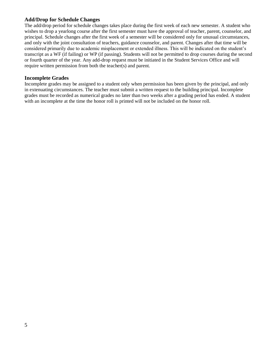### **Add/Drop for Schedule Changes**

The add/drop period for schedule changes takes place during the first week of each new semester. A student who wishes to drop a yearlong course after the first semester must have the approval of teacher, parent, counselor, and principal. Schedule changes after the first week of a semester will be considered only for unusual circumstances, and only with the joint consultation of teachers, guidance counselor, and parent. Changes after that time will be considered primarily due to academic misplacement or extended illness. This will be indicated on the student's transcript as a WF (if failing) or WP (if passing). Students will not be permitted to drop courses during the second or fourth quarter of the year. Any add-drop request must be initiated in the Student Services Office and will require written permission from both the teacher(s) and parent.

#### **Incomplete Grades**

Incomplete grades may be assigned to a student only when permission has been given by the principal, and only in extenuating circumstances. The teacher must submit a written request to the building principal. Incomplete grades must be recorded as numerical grades no later than two weeks after a grading period has ended. A student with an incomplete at the time the honor roll is printed will not be included on the honor roll.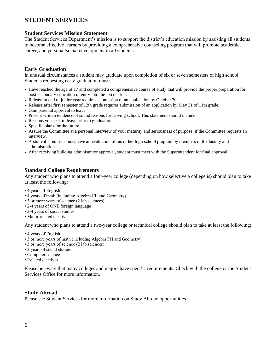### **STUDENT SERVICES**

#### **Student Services Mission Statement**

The Student Services Department's mission is to support the district's education mission by assisting all students to become effective learners by providing a comprehensive counseling program that will promote academic, career, and personal/social development in all students.

#### **Early Graduation**

In unusual circumstances a student may graduate upon completion of six or seven semesters of high school. Students requesting early graduation must:

- Have reached the age of 17 and completed a comprehensive course of study that will provide the proper preparation for post-secondary education or entry into the job market.
- Release at end of junior year requires submission of an application by October 30.
- Release after first semester of 12th grade requires submission of an application by May 31 of 11th grade.
- Gain parental approval to leave.
- Present written evidence of sound reasons for leaving school. This statement should include:
- Reasons you seek to leave prior to graduation
- Specific plans for the future
- Assure the Committee at a personal interview of your maturity and seriousness of purpose, if the Committee requests an interview.
- A student's requests must have an evaluation of his or her high school program by members of the faculty and administration.
- After receiving building administrator approval, student must meet with the Superintendent for final approval.

#### **Standard College Requirements**

Any student who plans to attend a four-year college (depending on how selective a college is) should plan to take at least the following:

- 4 years of English
- 4 years of math (including Algebra I/II and Geometry)
- 3 or more years of science (2 lab sciences)
- 2-4 years of ONE foreign language
- 3-4 years of social studies
- Major-related electives

Any student who plans to attend a two-year college or technical college should plan to take at least the following:

- 4 years of English
- 3 or more years of math (including Algebra I/II and Geometry)
- 3 or more years of science (2 lab sciences)
- 3 years of social studies
- Computer science
- Related electives

Please be aware that many colleges and majors have specific requirements. Check with the college or the Student Services Office for more information.

#### **Study Abroad**

Please see Student Services for more information on Study Abroad opportunities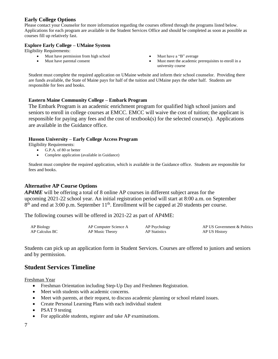### **Early College Options**

Please contact your Counselor for more information regarding the courses offered through the programs listed below. Applications for each program are available in the Student Services Office and should be completed as soon as possible as courses fill up relatively fast.

#### **Explore Early College – UMaine System**

Eligibility Requirements:

- Must have permission from high school
- Must have parental consent
- Must have a "B" average
- Must meet the academic prerequisites to enroll in a university course

Student must complete the required application on UMaine website and inform their school counselor. Providing there are funds available, the State of Maine pays for half of the tuition and UMaine pays the other half. Students are responsible for fees and books.

#### **Eastern Maine Community College – Embark Program**

The Embark Program is an academic enrichment program for qualified high school juniors and seniors to enroll in college courses at EMCC. EMCC will waive the cost of tuition; the applicant is responsible for paying any fees and the cost of textbook(s) for the selected course(s). Applications are available in the Guidance office.

#### **Husson University – Early College Access Program**

Eligibility Requirements:

- G.P.A. of 80 or better
- Complete application (available in Guidance)

Student must complete the required application, which is available in the Guidance office. Students are responsible for fees and books.

#### **Alternative AP Course Options**

*AP4ME* will be offering a total of 8 online AP courses in different subject areas for the upcoming 2021-22 school year. An initial registration period will start at 8:00 a.m. on September  $8<sup>th</sup>$  and end at 3:00 p.m. September 11<sup>th</sup>. Enrollment will be capped at 20 students per course.

The following courses will be offered in 2021-22 as part of AP4ME:

| AP Biology     | AP Computer Science A | AP Psychology        | AP US Government & Politics |
|----------------|-----------------------|----------------------|-----------------------------|
| AP Calculus BC | AP Music Theory       | <b>AP</b> Statistics | AP US History               |

Students can pick up an application form in Student Services. Courses are offered to juniors and seniors and by permission.

### **Student Services Timeline**

Freshman Year

- Freshman Orientation including Step-Up Day and Freshmen Registration.
- Meet with students with academic concerns.
- Meet with parents, at their request, to discuss academic planning or school related issues.
- Create Personal Learning Plans with each individual student
- PSAT 9 testing
- For applicable students, register and take AP examinations.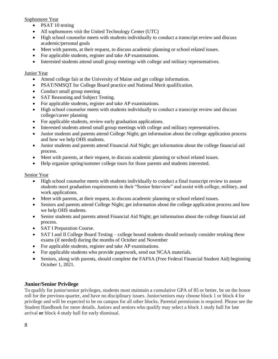#### Sophomore Year

- PSAT 10 testing
- All sophomores visit the United Technology Center (UTC)
- High school counselor meets with students individually to conduct a transcript review and discuss academic/personal goals
- Meet with parents, at their request, to discuss academic planning or school related issues.
- For applicable students, register and take AP examinations.
- Interested students attend small group meetings with college and military representatives.

#### Junior Year

- Attend college fair at the University of Maine and get college information.
- PSAT/NMSOT for College Board practice and National Merit qualification.
- Conduct small group meeting
- SAT Reasoning and Subject Testing.
- For applicable students, register and take AP examinations.
- High school counselor meets with students individually to conduct a transcript review and discuss college/career planning
- For applicable students, review early graduation applications.
- Interested students attend small group meetings with college and military representatives.
- Junior students and parents attend College Night; get information about the college application process and how we help OHS students.
- Junior students and parents attend Financial Aid Night; get information about the college financial aid process.
- Meet with parents, at their request, to discuss academic planning or school related issues.
- Help organize spring/summer college tours for those parents and students interested.

#### Senior Year

- High school counselor meets with students individually to conduct a final transcript review to assure students meet graduation requirements in their "Senior Interview" and assist with college, military, and work applications.
- Meet with parents, at their request, to discuss academic planning or school related issues.
- Seniors and parents attend College Night; get information about the college application process and how we help OHS students.
- Senior students and parents attend Financial Aid Night; get information about the college financial aid process.
- SAT I Preparation Course.
- SAT I and II College Board Testing college bound students should seriously consider retaking these exams (if needed) during the months of October and November
- For applicable students, register and take AP examinations.
- For applicable students who provide paperwork, send out NCAA materials.
- Seniors, along with parents, should complete the FAFSA (Free Federal Financial Student Aid) beginning October 1, 2021.

#### **Junior/Senior Privilege**

To qualify for junior/senior privileges, students must maintain a cumulative GPA of 85 or better, be on the honor roll for the previous quarter, and have no disciplinary issues. Junior/seniors may choose block 1 or block 4 for privilege and will be expected to be on campus for all other blocks. Parental permission is required. Please see the Student Handbook for more details. Juniors and seniors who qualify may select a block 1 study hall for late arrival **or** block 4 study hall for early dismissal.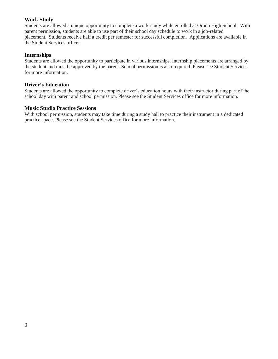### **Work Study**

Students are allowed a unique opportunity to complete a work-study while enrolled at Orono High School. With parent permission, students are able to use part of their school day schedule to work in a job-related placement. Students receive half a credit per semester for successful completion. Applications are available in the Student Services office.

#### **Internships**

Students are allowed the opportunity to participate in various internships. Internship placements are arranged by the student and must be approved by the parent. School permission is also required. Please see Student Services for more information.

#### **Driver's Education**

Students are allowed the opportunity to complete driver's education hours with their instructor during part of the school day with parent and school permission. Please see the Student Services office for more information.

#### **Music Studio Practice Sessions**

With school permission, students may take time during a study hall to practice their instrument in a dedicated practice space. Please see the Student Services office for more information.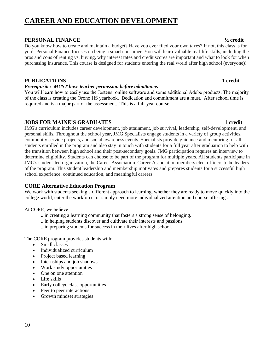# **CAREER AND EDUCATION DEVELOPMENT**

#### **PERSONAL FINANCE ½ credit**

Do you know how to create and maintain a budget? Have you ever filed your own taxes? If not, this class is for you! Personal Finance focuses on being a smart consumer. You will learn valuable real-life skills, including the pros and cons of renting vs. buying, why interest rates and credit scores are important and what to look for when purchasing insurance. This course is designed for students entering the real world after high school (everyone)!

#### **PUBLICATIONS 1 credit**

#### *Prerequisite: MUST have teacher permission before admittance.*

You will learn how to easily use the Jostens' online software and some additional Adobe products. The majority of the class is creating the Orono HS yearbook. Dedication and commitment are a must. After school time is required and is a major part of the assessment. This is a full-year course.

### **JOBS FOR MAINE'S GRADUATES** 4 and 1 credit

JMG's curriculum includes career development, job attainment, job survival, leadership, self-development, and personal skills. Throughout the school year, JMG Specialists engage students in a variety of group activities, community service projects, and social awareness events. Specialists provide guidance and mentoring for all students enrolled in the program and also stay in touch with students for a full year after graduation to help with the transition between high school and their post-secondary goals. JMG participation requires an interview to determine eligibility. Students can choose to be part of the program for multiple years. All students participate in JMG's student-led organization, the Career Association. Career Association members elect officers to be leaders of the program. This student leadership and membership motivates and prepares students for a successful high school experience, continued education, and meaningful careers.

### **CORE Alternative Education Program**

We work with students seeking a different approach to learning, whether they are ready to move quickly into the college world, enter the workforce, or simply need more individualized attention and course offerings.

At CORE, we believe…

- ...in creating a learning community that fosters a strong sense of belonging.
- ...in helping students discover and cultivate their interests and passions.
- ...in preparing students for success in their lives after high school.

The CORE program provides students with:

- Small classes
- Individualized curriculum
- Project based learning
- Internships and job shadows
- Work study opportunities
- One on one attention
- Life skills
- Early college class opportunities
- Peer to peer interactions
- Growth mindset strategies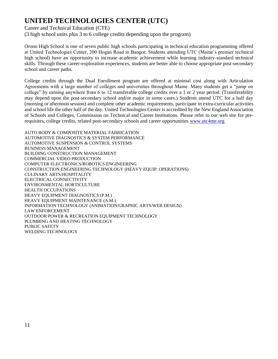# **UNITED TECHNOLOGIES CENTER (UTC)**

Career and Technical Education (CTE)

(3 high school units plus 3 to 6 college credits depending upon the program)

Orono High School is one of seven public high schools participating in technical education programming offered at United Technologies Center, 200 Hogan Road in Bangor. Students attending UTC (Maine's premier technical high school) have an opportunity to increase academic achievement while learning industry-standard technical skills. Through these career-exploration experiences, students are better able to choose appropriate post-secondary school and career paths.

College credits through the Dual Enrollment program are offered at minimal cost along with Articulation Agreements with a large number of colleges and universities throughout Maine. Many students get a "jump on college" by earning anywhere from 6 to 12 transferable college credits over a 1 or 2 year period. (Transferability may depend upon the post-secondary school and/or major in some cases.) Students attend UTC for a half day (morning or afternoon session) and complete other academic requirements, participate in extra-curricular activities and school life the other half of the day. United Technologies Center is accredited by the New England Association of Schools and Colleges, Commission on Technical and Career Institutions. Please refer to our web site for prerequisites, college credits, related post-secondary schools and career opportunities [www.utc4me.org](http://www.utc4me.org/)

AUTO BODY & COMPOSITE MATERIAL FABRICATION AUTOMOTIVE DIAGNOSTICS & SYSTEM PERFORMANCE AUTOMOTIVE SUSPENSION & CONTROL SYSTEMS BUSINESS MANAGEMENT BUILDING CONSTRUCTION MANAGEMENT COMMERCIAL VIDEO PRODUCTION COMPUTER ELECTRONICS/ROBOTICS ENGINEERING CONSTRUCTION ENGINEERING TECHNOLOGY (HEAVY EQUIP. OPERATIONS) CULINARY ARTS/HOSPITALITY ELECTRICAL CONNECTIVITY ENVIRONMENTAL HORTICULTURE HEALTH OCCUPATIONS HEAVY EQUIPMENT DIAGNOSTICS (P.M.) HEAVY EQUIPMENT MAINTENANCE (A.M.) INFORMATION TECHNOLOGY (ANIMATION/GRAPHIC ARTS/WEB DESIGN) LAW ENFORCEMENT OUTDOOR POWER & RECREATION EQUIPMENT TECHNOLOGY PLUMBING AND HEATING TECHNOLOGY PUBLIC SAFETY WELDING TECHNOLOGY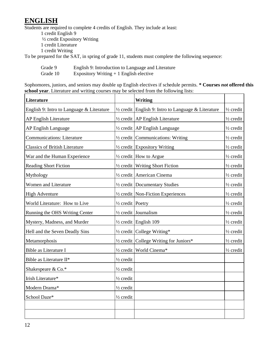# **ENGLISH**

Students are required to complete 4 credits of English. They include at least:

1 credit English 9 ½ credit Expository Writing 1 credit Literature 1 credit Writing To be prepared for the SAT, in spring of grade 11, students must complete the following sequence:

Grade 9 English 9: Introduction to Language and Literature

Grade 10 Expository Writing + 1 English elective

Sophomores, juniors, and seniors may double up English electives if schedule permits. **\* Courses** *not* **offered this school year**. Literature and writing courses may be selected from the following lists:

| Literature                                |                             | Writing                                                        |                      |
|-------------------------------------------|-----------------------------|----------------------------------------------------------------|----------------------|
| English 9: Intro to Language & Literature |                             | $\frac{1}{2}$ credit English 9: Intro to Language & Literature | $\frac{1}{2}$ credit |
| AP English Literature                     |                             | 1/2 credit   AP English Literature                             | $\frac{1}{2}$ credit |
| AP English Language                       |                             | 1/2 credit   AP English Language                               | $\frac{1}{2}$ credit |
| <b>Communications: Literature</b>         |                             | $\frac{1}{2}$ credit Communications: Writing                   | $\frac{1}{2}$ credit |
| <b>Classics of British Literature</b>     |                             | 1/2 credit Expository Writing                                  | $\frac{1}{2}$ credit |
| War and the Human Experience              |                             | $\frac{1}{2}$ credit   How to Argue                            | $\frac{1}{2}$ credit |
| <b>Reading Short Fiction</b>              |                             | $\frac{1}{2}$ credit Writing Short Fiction                     | $\frac{1}{2}$ credit |
| Mythology                                 |                             | $\frac{1}{2}$ credit American Cinema                           | 1/2 credit           |
| Women and Literature                      |                             | $\frac{1}{2}$ credit Documentary Studies                       | $\frac{1}{2}$ credit |
| <b>High Adventure</b>                     |                             | 1/2 credit   Non-Fiction Experiences                           | $\frac{1}{2}$ credit |
| World Literature: How to Live             | $\frac{1}{2}$ credit Poetry |                                                                | $\frac{1}{2}$ credit |
| Running the OHS Writing Center            |                             | $\frac{1}{2}$ credit Journalism                                | $\frac{1}{2}$ credit |
| Mystery, Madness, and Murder              |                             | $\frac{1}{2}$ credit English 109                               | $\frac{1}{2}$ credit |
| Hell and the Seven Deadly Sins            |                             | $\frac{1}{2}$ credit College Writing*                          | $\frac{1}{2}$ credit |
| Metamorphosis                             |                             | 1/2 credit College Writing for Juniors*                        | $\frac{1}{2}$ credit |
| Bible as Literature I                     |                             | 1/2 credit   World Cinema*                                     | 1/2 credit           |
| Bible as Literature II*                   | $\frac{1}{2}$ credit        |                                                                |                      |
| Shakespeare & Co.*                        | $\frac{1}{2}$ credit        |                                                                |                      |
| Irish Literature*                         | $\frac{1}{2}$ credit        |                                                                |                      |
| Modern Drama*                             | $\frac{1}{2}$ credit        |                                                                |                      |
| School Daze*                              | $\frac{1}{2}$ credit        |                                                                |                      |
|                                           |                             |                                                                |                      |
|                                           |                             |                                                                |                      |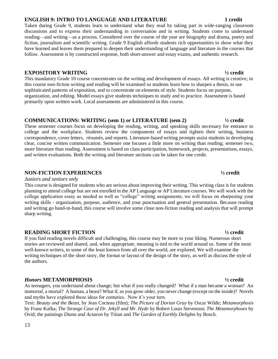### 13

### **ENGLISH 9: INTRO TO LANGUAGE AND LITERATURE 1 credit**

#### Taken during Grade 9, students learn to understand what they read by taking part in wide-ranging classroom discussions and to express their understanding in conversation and in writing. Students come to understand reading—and writing—as a process. Considered over the course of the year are biography and drama, poetry and fiction, journalism and scientific writing. Grade 9 English affords students rich opportunities to show what they have learned and leaves them prepared to deepen their understanding of language and literature in the courses that follow. Assessment is by constructed response, both short-answer and essay exams, and authentic research.

### **EXPOSITORY WRITING ½ credit**

This mandatory Grade 10 course concentrates on the writing and development of essays. All writing is creative; in this course non-fiction writing and reading will be examined so students learn how to sharpen a thesis, to use sophisticated patterns of exposition, and to concentrate on elements of style. Students focus on purpose, organization, and editing. Model essays give students techniques to study and to practice. Assessment is based primarily upon written work. Local assessments are administered in this course.

### **COMMUNICATIONS: WRITING (sem 1)** *or* **LITERATURE (sem 2) ½ credit**

These semester courses focus on developing the reading, writing, and speaking skills necessary for entrance to college and the workplace. Students review the components of essays and tighten their writing, business correspondence, cover letters, résumés, and reports. Literature-based writing prompts assist students in developing clear, concise written communication. Semester one focuses a little more on writing than reading; semester two, more literature than reading. Assessment is based on class participation, homework, projects, presentations, essays, and written evaluations. Both the writing and literature sections can be taken for one credit.

### **NON-FICTION EXPERIENCES ½ credit**

#### *Juniors and seniors only*

This course is designed for students who are serious about improving their writing. This writing class is for students planning to attend college but are not enrolled in the AP Language or AP Literature courses. We will work with the college application essay as needed as well as "college" writing assignments; we will focus on sharpening your writing skills - organization, purpose, audience, and your punctuation and general presentation. Because reading and writing go hand-in-hand, this course will involve some close non-fiction reading and analysis that will prompt sharp writing.

### **READING SHORT FICTION ½ credit**

If you find reading novels difficult and challenging, this course may be more to your liking. Numerous short stories are reviewed and shared, and, when appropriate, meaning is tied to the world around us. Some of the most well-known writers, to some of the least known from all over the world, are explored. We will examine the writing techniques of the short story, the format or layout of the design of the story, as well as discuss the style of the authors.

### *Honors* **METAMORPHOSIS ½ credit**

As teenagers, you understand about change; but what if you really changed? What if a man became a woman? An immortal, a mortal? A human, a beast? What if, as you grow older, you never change (except on the inside)? Novels and myths have explored these ideas for centuries. Now it's your turn.

Text: *Beauty and the Beast*, by Jean Cocteau (film); *The Picture of Dorian Gray* by Oscar Wilde; *Metamorphosis* by Franz Kafka; *The Strange Case of Dr. Jekyll and Mr. Hyde* by Robert Louis Stevenson; *The Metamorphoses* by Ovid; the paintings *Diana and Actaeon* by Titian and *The Garden of Earthly Delights* by Bosch.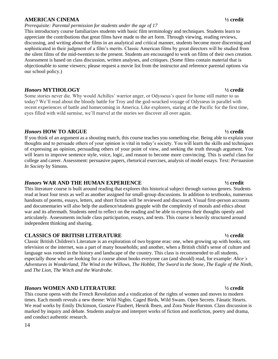#### **AMERICAN CINEMA ½ credit**

#### *Prerequisite: Parental permission for students under the age of 17*

This introductory course familiarizes students with basic film terminology and techniques. Students learn to appreciate the contributions that great films have made to the art form. Through viewing, reading reviews, discussing, and writing about the films in an analytical and critical manner, students become more discerning and sophisticated in their judgment of a film's merits. Classic American films by great directors will be studied from the silent films of the mid-twenties to the present. Students are encouraged to work on films of their own creation. Assessment is based on class discussion, written analyses, and critiques. (Some films contain material that is objectionable to some viewers; please request a movie list from the instructor and reference parental options via our school policy.)

#### *Honors* **MYTHOLOGY ½ credit**

Some stories never die. Why would Achilles' warrior anger, or Odysseus's quest for home still matter to us today? We'll read about the bloody battle for Troy and the god-wracked voyage of Odysseus in parallel with recent experiences of battle and homecoming in America. Like explorers, staring at the Pacific for the first time, eyes filled with wild surmise, we'll marvel at the stories we discover all over again.

#### *Honors* **HOW TO ARGUE ½ credit**

If you think of an argument as a shouting match, this course teaches you something else. Being able to explain your thoughts and to persuade others of your opinion is vital in today's society. You will learn the skills and techniques of expressing an opinion, persuading others of your point of view, and seeking the truth through argument. You will learn to improve sentence style, voice, logic, and reason to become more convincing. This is useful class for college and career. Assessment: persuasive papers, rhetorical exercises, analysis of model essays. Text: *Persuasion In Society* by Simons.

#### *Honors* **WAR AND THE HUMAN EXPERIENCE ½ credit**

This literature course is built around reading that explores this historical subject through various genres. Students read at least four texts as well as another assigned for small-group discussions. In addition to textbooks, numerous handouts of poems, essays, letters, and short fiction will be reviewed and discussed. Visual first-person accounts and documentaries will also help the audience/students grapple with the complexity of morals and ethics about war and its aftermath. Students need to reflect on the reading and be able to express their thoughts openly and articulately. Assessments include class participation, essays, and tests. This course is heavily structured around independent thinking and sharing.

#### **CLASSICS OF BRITISH LITERATURE ½ credit**

Classic British Children's Literature is an exploration of two bygone eras: one, when growing up with books, not television or the internet, was a part of many households; and another, when a British child's sense of culture and language was rooted in the history and landscape of the country. This class is recommended to all students, especially those who are looking for a course about books everyone can (and should) read, for example: *Alice's Adventures in Wonderland, The Wind in the Willows, The Hobbit, The Sword* in *the Stone, The Eagle of the Ninth,* and *The Lion, The Witch and the Wardrobe.*

#### *Honors* **WOMEN AND LITERATURE ½ credit**

This course opens with the French Revolution and a vindication of the rights of women and moves to modern times. Each month reveals a new theme: Wild Nights. Caged Birds, Wild Swans. Open Secrets. Fánatic Hearts. We read works by Emily Dickinson, Gustave Flaubert, Henrik Ibsen, and Zora Neale Hurston. Class discussion is marked by inquiry and debate. Students analyze and interpret works of fiction and nonfiction, poetry and drama, and conduct authentic research.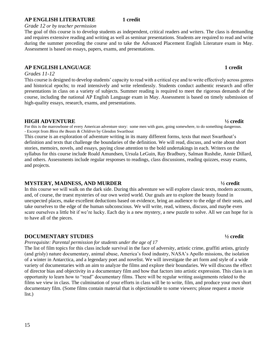#### **AP ENGLISH LITERATURE 1 credit**

#### *Grade 12 or by teacher permission*

The goal of this course is to develop students as independent, critical readers and writers. The class is demanding and requires extensive reading and writing as well as seminar presentations. Students are required to read and write during the summer preceding the course and to take the Advanced Placement English Literature exam in May. Assessment is based on essays, papers, exams, and presentations.

#### **AP ENGLISH LANGUAGE 1 credit**

#### *Grades 11-12*

This course is designed to develop students' capacity to read with a critical eye and to write effectively across genres and historical epochs; to read intensively and write relentlessly. Students conduct authentic research and offer presentations in class on a variety of subjects. Summer reading is required to meet the rigorous demands of the course, including the national AP English Language exam in May. Assessment is based on timely submission of high-quality essays, research, exams, and presentations.

#### **HIGH ADVENTURE ½ credit**

For this is the marrowbone of every American adventure story: some men with guns, going somewhere, to do something dangerous. - Excerpt from *Bless the Beasts & Children* by Glendon Swarthout

This course is an exploration of adventure writing in its many different forms, texts that meet Swarthout's definition and texts that challenge the boundaries of the definition. We will read, discuss, and write about short stories, memoirs, novels, and essays, paying close attention to the bold undertakings in each. Writers on the syllabus for this course include Roald Amundsen, Ursula LeGuin, Ray Bradbury, Salman Rushdie, Annie Dillard, and others. Assessments include regular responses to readings, class discussions, reading quizzes, essay exams, and projects.

#### **MYSTERY, MADNESS, AND MURDER ½ credit**

In this course we will walk on the dark side. During this adventure we will explore classic texts, modern accounts, and, of course, the truest mysteries of our own weird world. Our goals are to explore the beauty found in unexpected places, make excellent deductions based on evidence, bring an audience to the edge of their seats, and take ourselves to the edge of the human subconscious. We will write, read, witness, discuss, and maybe even scare ourselves a little bit if we're lucky. Each day is a new mystery, a new puzzle to solve. All we can hope for is to have all of the pieces.

#### **DOCUMENTARY STUDIES ½ credit**

*Prerequisite: Parental permission for students under the age of 17*

The list of film topics for this class include survival in the face of adversity, artistic crime, graffiti artists, grizzly (and grisly) nature documentary, animal abuse, America's food industry, NASA's Apollo missions, the isolation of a winter in Antarctica, and a legendary poet and novelist. We will investigate the art form and style of a wide variety of documentaries with an aim to analyze the films and explore their boundaries. We will discuss the effect of director bias and objectivity in a documentary film and how that factors into artistic expression. This class is an opportunity to learn how to "read" documentary films. There will be regular writing assignments related to the films we view in class. The culmination of your efforts in class will be to write, film, and produce your own short documentary film. (Some films contain material that is objectionable to some viewers; please request a movie list.)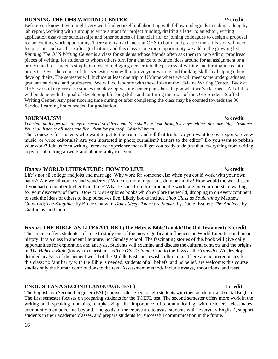#### **RUNNING THE OHS WRITING CENTER ½ credit**

Before you know it, you might very well find yourself collaborating with fellow undergrads to submit a lengthy lab report, working with a group to write a grant for project funding, drafting a letter to an editor, writing application essays for scholarships and other sources of financial aid, or joining colleagues to design a proposal for an exciting work opportunity. There are many chances at OHS to build and practice the skills you will need for pursuits such as these after graduation, and this class is one more opportunity we add to the growing list. *Running The OHS Writing Center* is a class for students whose friends often ask them to help edit or proofread pieces of writing, for students to whom others turn for a chance to bounce ideas around for an assignment or a project, and for students simply interested in digging deeper into the process of writing and turning ideas into projects. Over the course of this semester, you will improve your writing and thinking skills by helping others develop theirs. The semester will include at least one trip to UMaine where we will meet some undergraduates, graduate students, and professors. We will collaborate with these folks at the UMaine Writing Center. Back at OHS, we will explore case studies and develop writing center plans based upon what we've learned. All of this will be done with the goal of developing life-long skills and nurturing the roots of the OHS Student-Staffed Writing Center. Any peer tutoring time during or after completing the class may be counted towards the 30 Service Learning hours needed for graduation.

#### **JOURNALISM ½ credit**

*You shall no longer take things at second or third hand. You shall not look through my eyes either, nor take things from me. You shall listen to all sides and filter them for yourself. –Walt Whitman*

This course is for students who want to get to the truth—and tell that truth. Do you want to cover sports, review music, or write editorials? Are you interested in photojournalism? Letters to the editor? Do you want to publish your work? Join us for a writing-intensive experience that will get you ready to do just that, everything from writing copy to submitting artwork and photography to layout.

#### *Honors* **WORLD LITERATURE: HOW TO LIVE ½ credit**

Life's not all college and jobs and marriage. Why work for someone else when you could work with your own hands? Are we all nomads and wanderers? Which is more important, duty or family? How would the world seem if you had no number higher than three? What lessons from life around the world are on your doorstep, waiting for your discovery of them? *How to Live* explores books which explore the world, dropping in on every continent to seek the ideas of others to help ourselves live. Likely books include *Shop Class as Soulcraft* by Matthew Crawford; *The Songlines* by Bruce Chatwin; *Don't Sleep, There are Snakes* by Daniel Everett; *The Analects* by Confucius; and more.

#### *Honors* **THE BIBLE AS LITERATURE I (The Hebrew Bible/Tanakh/The Old Testament) ½ credit**

This course offers students a chance to study one of the most significant influences on World Literature in human history. It is a class in ancient literature, not Sunday school. The fascinating stories of this book will give daily opportunities for exploration and analysis. Students will examine and discuss the cultural contexts and the origins of *The Hebrew Bible* (known to Christians as *The Old Testament* and to the Jews as the *Tanakh*). We develop a detailed analysis of the ancient world of the Middle East and Jewish culture in it. There are no prerequisites for this class; no familiarity with the Bible is needed; students of all beliefs, and no belief, are welcome; this course studies only the human contributions to the text. Assessment methods include essays, annotations, and tests.

#### **ENGLISH AS A SECOND LANGUAGE (ESL)** 1 credit

The English as a Second Language (ESL) course is designed to help students with their academic and social English. The first semester focuses on preparing students for the TOEFL test. The second semester offers more work in the writing and speaking domains, emphasizing the importance of communicating with teachers, classmates, community members, and beyond. The goals of the course are to assist students with 'everyday English', support students in their academic classes, and prepare students for successful communication in the future.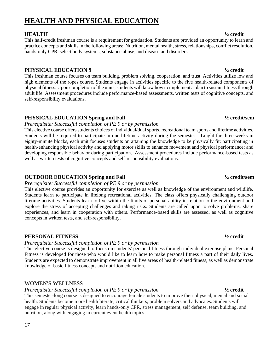# **HEALTH AND PHYSICAL EDUCATION**

### **HEALTH ½ credit**

This half-credit freshman course is a requirement for graduation. Students are provided an opportunity to learn and practice concepts and skills in the following areas: Nutrition, mental health, stress, relationships, conflict resolution, hands-only CPR, select body systems, substance abuse, and disease and disorders.

### **PHYSICAL EDUCATION 9 ½ credit**

This freshman course focuses on team building, problem solving, cooperation, and trust. Activities utilize low and high elements of the ropes course. Students engage in activities specific to the five health-related components of physical fitness. Upon completion of the units, students will know how to implement a plan to sustain fitness through adult life. Assessment procedures include performance-based assessments, written tests of cognitive concepts, and self-responsibility evaluations.

### **PHYSICAL EDUCATION Spring and Fall ½ credit/sem**

#### *Prerequisite: Successful completion of PE 9 or by permission*

This elective course offers students choices of individual/dual sports, recreational team sports and lifetime activities. Students will be required to participate in one lifetime activity during the semester. Taught for three weeks in eighty-minute blocks, each unit focuses students on attaining the knowledge to be physically fit: participating in health-enhancing physical activity and applying motor skills to enhance movement and physical performance; and developing responsible behavior during participation. Assessment procedures include performance-based tests as well as written tests of cognitive concepts and self-responsibility evaluations.

### **OUTDOOR EDUCATION Spring and Fall ½ credit/sem**

#### *Prerequisite: Successful completion of PE 9 or by permission*

This elective course provides an opportunity for exercise as well as knowledge of the environment and wildlife. Students learn to participate in lifelong recreational activities. The class offers physically challenging outdoor lifetime activities. Students learn to live within the limits of personal ability in relation to the environment and explore the stress of accepting challenges and taking risks. Students are called upon to solve problems, share experiences, and learn in cooperation with others. Performance-based skills are assessed, as well as cognitive concepts in written tests, and self-responsibility.

#### **PERSONAL FITNESS ½ credit**

### *Prerequisite: Successful completion of PE 9 or by permission*

This elective course is designed to focus on students' personal fitness through individual exercise plans. Personal Fitness is developed for those who would like to learn how to make personal fitness a part of their daily lives. Students are expected to demonstrate improvement in all five areas of health-related fitness, as well as demonstrate knowledge of basic fitness concepts and nutrition education.

### **WOMEN'S WELLNESS**

### *Prerequisite: Successful completion of PE 9 or by permission* **½ credit**

This semester-long course is designed to encourage female students to improve their physical, mental and social health. Students become more health literate, critical thinkers, problem solvers and advocates. Students will engage in regular physical activity, learn hands-only CPR, stress management, self defense, team building, and nutrition, along with engaging in current event health topics.

### 17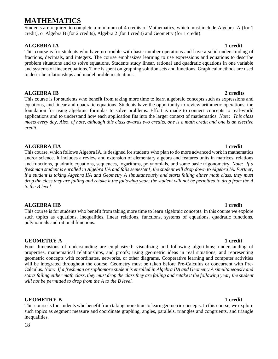# **MATHEMATICS**

Students are required to complete a minimum of 4 credits of Mathematics, which must include Algebra IA (for 1 credit), or Algebra B (for 2 credits), Algebra 2 (for 1 credit) and Geometry (for 1 credit).

### **ALGEBRA IA 1 credit**

This course is for students who have no trouble with basic number operations and have a solid understanding of fractions, decimals, and integers. The course emphasizes learning to use expressions and equations to describe problem situations and to solve equations. Students study linear, rational and quadratic equations in one variable and systems of linear equations. Time is spent on graphing solution sets and functions. Graphical methods are used to describe relationships and model problem situations.

### **ALGEBRA IB 2 credits**

This course is for students who benefit from taking more time to learn algebraic concepts such as expressions and equations, and linear and quadratic equations. Students have the opportunity to review arithmetic operations, the foundation for using algebraic formulas to solve problems. Effort is made to connect concepts to real-world applications and to understand how each application fits into the larger context of mathematics. *Note: This class meets every day*. *Also, of note, although this class awards two credits, one is a math credit and one is an elective credit.*

### **ALGEBRA IIA 1 credit**

This course, which follows Algebra IA, is designed for students who plan to do more advanced work in mathematics and/or science. It includes a review and extension of elementary algebra and features units in matrices, relations and functions, quadratic equations, sequences, logarithms, polynomials, and some basic trigonometry. *Note: If a*  freshman student is enrolled in Algebra IIA and fails semester1, the student will drop down to Algebra IA. Further, *if a student is taking Algebra IIA and Geometry A simultaneously and starts failing either math class, they must drop the class they are failing and retake it the following year; the student will not be permitted to drop from the A to the B level.* 

### **ALGEBRA IIB 1 credit**

This course is for students who benefit from taking more time to learn algebraic concepts. In this course we explore such topics as equations, inequalities, linear relations, functions, systems of equations, quadratic functions, polynomials and rational functions.

### **GEOMETRY A 1 credit**

Four dimensions of understanding are emphasized: visualizing and following algorithms; understanding of properties, mathematical relationships, and proofs; using geometric ideas in real situations; and representing geometric concepts with coordinates, networks, or other diagrams. Cooperative learning and computer activities will be integrated throughout the course. Geometry must be taken before Pre-Calculus or concurrent with Pre-Calculus. *Note: If a freshman or sophomore student is enrolled in Algebra IIA and Geometry A simultaneously and starts failing either math class, they must drop the class they are failing and retake it the following year; the student will not be permitted to drop from the A to the B level.*

### **GEOMETRY B 1 credit**

This course is for students who benefit from taking more time to learn geometric concepts. In this course, we explore such topics as segment measure and coordinate graphing, angles, parallels, triangles and congruents, and triangle inequalities.

#### 18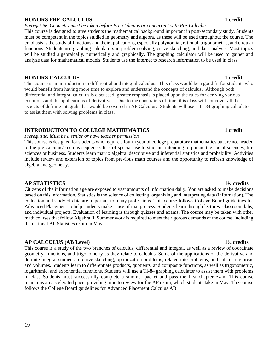#### **HONORS PRE-CALCULUS 1 credit**

*Prerequisite: Geometry must be taken before Pre-Calculus or concurrent with Pre-Calculus* 

This course is designed to give students the mathematical background important in post-secondary study. Students must be competent in the topics studied in geometry and algebra, as these will be used throughout the course. The emphasis is the study of functions and their applications, especially polynomial, rational, trigonometric, and circular functions. Students use graphing calculators in problem solving, curve sketching, and data analysis. Most topics will be studied algebraically, numerically and graphically. The graphing calculator will be used to gather and analyze data for mathematical models. Students use the Internet to research information to be used in class.

### **HONORS CALCULUS 1 credit**

This course is an introduction to differential and integral calculus. This class would be a good fit for students who would benefit from having more time to explore and understand the concepts of calculus. Although both differential and integral calculus is discussed, greater emphasis is placed upon the rules for deriving various equations and the applications of derivatives. Due to the constraints of time, this class will not cover all the aspects of definite integrals that would be covered in AP Calculus. Students will use a TI-84 graphing calculator to assist them with solving problems in class.

### **INTRODUCTION TO COLLEGE MATHEMATICS**  1 credit

#### *Prerequisite: Must be a senior or have teacher permission*

This course is designed for students who require a fourth year of college preparatory mathematics but are not headed to the pre-calculus/calculus sequence. It is of special use to students intending to pursue the social sciences, life sciences or business. Students learn matrix algebra, descriptive and inferential statistics and probability. Activities include review and extension of topics from previous math courses and the opportunity to refresh knowledge of algebra and geometry.

### **AP STATISTICS 1½ credits**

Citizens of the information age are exposed to vast amounts of information daily. You are asked to make decisions based on this information. Statistics is the science of collecting, organizing and interpreting data (information). The collection and study of data are important to many professions. This course follows College Board guidelines for Advanced Placement to help students make sense of that process. Students learn through lectures, classroom labs, and individual projects. Evaluation of learning is through quizzes and exams. The course may be taken with other math courses that follow Algebra II. Summer work is required to meet the rigorous demands of the course, including the national AP Statistics exam in May.

### **AP CALCULUS (AB Level) 1½ credits**

This course is a study of the two branches of calculus, differential and integral, as well as a review of coordinate geometry, functions, and trigonometry as they relate to calculus. Some of the applications of the derivative and definite integral studied are curve sketching, optimization problems, related rate problems, and calculating areas and volumes. Students learn to differentiate products, quotients, and composite functions, as well as trigonometric, logarithmic, and exponential functions. Students will use a TI-84 graphing calculator to assist them with problems in class. Students must successfully complete a summer packet and pass the first chapter exam. This course maintains an accelerated pace, providing time to review for the AP exam, which students take in May. The course follows the College Board guidelines for Advanced Placement Calculus AB.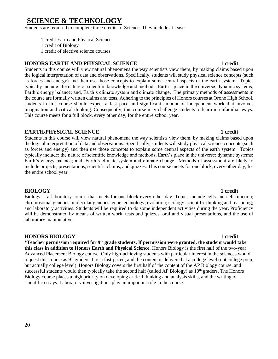# **SCIENCE & TECHNOLOGY**

Students are required to complete three credits of Science. They include at least:

1 credit Earth and Physical Science 1 credit of Biology 1 credit of elective science courses

### **HONORS EARTH AND PHYSICAL SCIENCE 1 credit**

Students in this course will view natural phenomena the way scientists view them, by making claims based upon the logical interpretation of data and observations. Specifically, students will study physical science concepts (such as forces and energy) and then use those concepts to explain some central aspects of the earth system. Topics typically include: the nature of scientific knowledge and methods; Earth's place in the universe; dynamic systems; Earth's energy balance; and, Earth's climate system and climate change. The primary methods of assessments in the course are formally written claims and tests. Adhering to the principles of Honors courses at Orono High School, students in this course should expect a fast pace and significant amount of independent work that involves imagination and critical thinking. Consequently, this course may challenge students to learn in unfamiliar ways. This course meets for a full block, every other day, for the entire school year.

### **EARTH/PHYSICAL SCIENCE 1 credit**

Students in this course will view natural phenomena the way scientists view them, by making claims based upon the logical interpretation of data and observations. Specifically, students will study physical science concepts (such as forces and energy) and then use those concepts to explain some central aspects of the earth system. Topics typically include: the nature of scientific knowledge and methods; Earth's place in the universe; dynamic systems; Earth's energy balance; and, Earth's climate system and climate change. Methods of assessment are likely to include projects, presentations, scientific claims, and quizzes. This course meets for one block, every other day, for the entire school year.

#### **BIOLOGY 1 credit**

Biology is a laboratory course that meets for one block every other day. Topics include cells and cell function; chromosomal genetics; molecular genetics; gene technology; evolution; ecology; scientific thinking and reasoning; and laboratory activities. Students will be required to do some independent activities during the year. Proficiency will be demonstrated by means of written work, tests and quizzes, oral and visual presentations, and the use of laboratory manipulatives.

#### **HONORS BIOLOGY 1 credit**

**\*Teacher permission required for 9th grade students. If permission were granted, the student would take this class in addition to Honors Earth and Physical Science.** Honors Biology is the first half of the two-year Advanced Placement Biology course. Only high-achieving students with particular interest in the sciences would request this course as 9th graders. It is a fast-paced, and the content is delivered at a college level (not college prep, but actually college level). Honors Biology covers the first half of the content of the AP Biology course, and successful students would then typically take the second half (called AP Biology) as  $10<sup>th</sup>$  graders. The Honors Biology course places a high priority on developing critical thinking and analysis skills, and the writing of scientific essays. Laboratory investigations play an important role in the course.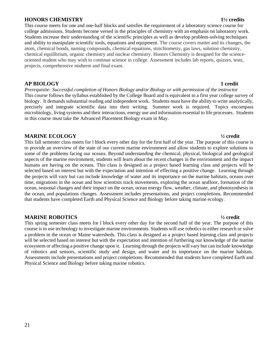#### **HONORS CHEMISTRY 1½ credits**

This course meets for one and one-half blocks and satisfies the requirement of a laboratory science course for college admissions. Students become versed in the principles of chemistry with an emphasis on laboratory work. Students increase their understanding of the scientific principles as well as develop problem-solving techniques and ability to manipulate scientific tools, equations and equipment. The course covers matter and its changes, the atom, chemical bonds, naming compounds, chemical equations, stoichiometry, gas laws, solution chemistry, chemical equilibrium, organic chemistry and nuclear chemistry. Honors Chemistry is designed for the scienceoriented student who may wish to continue science in college. Assessment includes lab reports, quizzes, tests, projects, comprehensive midterm and final exam.

#### **AP BIOLOGY 1 credit**

*Prerequisite: Successful completion of Honors Biology and/or Biology or with permission of the instructor* This course follows the syllabus established by the College Board and is equivalent to a first year college survey of biology. It demands substantial reading and independent work. Students must have the ability to write analytically, precisely and integrate scientific data into their writing. Summer work is required. Topics encompass microbiology, living systems and their interactions, energy use and information essential to life processes. Students in this course must take the Advanced Placement Biology exam in May.

#### **MARINE ECOLOGY ½ credit**

This fall semester class meets for l block every other day for the first half of the year. The purpose of this course is to provide an overview of the state of our current marine environment and allow students to explore solutions to some of the problems facing our oceans. Beyond understanding the chemical, physical, biological and geological aspects of the marine environment, students will learn about the recent changes in the environment and the impact humans are having on the oceans. This class is designed as a project based learning class and projects will be selected based on interest but with the expectation and intention of effecting a positive change. Learning through the projects will vary but can include knowledge of water and its importance on the marine habitats, oceans over time, migrations in the ocean and how scientists track movements, exploring the ocean seafloor, formation of the ocean, seasonal changes and their impact on the ocean, ocean energy flow, weather, climate, and photosynthesis in the ocean, and populations changes. Assessment includes presentations, and project completions. Recommended that students have completed Earth and Physical Science and Biology before taking marine ecology.

#### **MARINE ROBOTICS ½ credit**

This spring semester class meets for l block every other day for the second half of the year. The purpose of this course is to use technology to investigate marine environments. Students will use robotics to either research or solve a problem in the ocean or Maine watersheds. This class is designed as a project based learning class and projects will be selected based on interest but with the expectation and intention of furthering our knowledge of the marine ecosystem or affecting a positive change upon it. Learning through the projects will vary but can include knowledge of robotics and sensors, scientific study and design, and water and its importance on the marine habitats. Assessments include presentations and project completions. Recommended that students have completed Earth and Physical Science and Biology before taking marine robotics.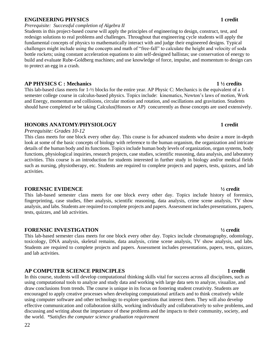#### **ENGINEERING PHYSICS 1 credit**

*Prerequisite: Successful completion of Algebra II*

Students in this project-based course will apply the principles of engineering to design, construct, test, and redesign solutions to real problems and challenges. Throughout that engineering cycle students will apply the fundamental concepts of physics to mathematically interact with and judge their engineered designs. Typical challenges might include using the concepts and math of "free-fall" to calculate the height and velocity of soda bottle rockets; using constant acceleration equations to aim self-designed ballistas; use conservation of energy to build and evaluate Rube-Goldberg machines; and use knowledge of force, impulse, and momentum to design cars to protect an egg in a crash.

#### **AP PHYSICS C : Mechanics 1 ½ credits**

This lab-based class meets for  $1-\frac{1}{2}$  blocks for the entire year. AP Physic C: Mechanics is the equivalent of a 1semester college course in calculus-based physics. Topics include: kinematics, Newton's laws of motion, Work and Energy, momentum and collisions, circular motion and rotation, and oscillations and gravitation. Students should have completed or be taking Calculus(Honors or AP) concurrently as those concepts are used extensively.

### **HONORS ANATOMY/PHYSIOLOGY 1 credit**

#### *Prerequisite: Grades 10-12*

This class meets for one block every other day. This course is for advanced students who desire a more in-depth look at some of the basic concepts of biology with reference to the human organism, the organization and intricate details of the human body and its functions. Topics include human body levels of organization, organ systems, body functions, physiological inquiries, research projects, case studies, scientific reasoning, data analysis, and laboratory activities. This course is an introduction for students interested in further study in biology and/or medical fields such as nursing, physiotherapy, etc. Students are required to complete projects and papers, tests, quizzes, and lab activities.

#### **FORENSIC EVIDENCE ½ credit**

This lab-based semester class meets for one block every other day. Topics include history of forensics, fingerprinting, case studies, fiber analysis, scientific reasoning, data analysis, crime scene analysis, TV show analysis, and labs. Students are required to complete projects and papers. Assessment includes presentations, papers, tests, quizzes, and lab activities.

#### **FORENSIC INVESTIGATION ½ credit**

This lab-based semester class meets for one block every other day. Topics include chromatography, odontology, toxicology, DNA analysis, skeletal remains, data analysis, crime scene analysis, TV show analysis, and labs. Students are required to complete projects and papers. Assessment includes presentations, papers, tests, quizzes, and lab activities.

#### **AP COMPUTER SCIENCE PRINCIPLES 1 credit**

In this course, students will develop computational thinking skills vital for success across all disciplines, such as using computational tools to analyze and study data and working with large data sets to analyze, visualize, and draw conclusions from trends. The course is unique in its focus on fostering student creativity. Students are encouraged to apply creative processes when developing computational artifacts and to think creatively while using computer software and other technology to explore questions that interest them. They will also develop effective communication and collaboration skills, working individually and collaboratively to solve problems, and discussing and writing about the importance of these problems and the impacts to their community, society, and the world. *\*Satisfies the computer science graduation requirement*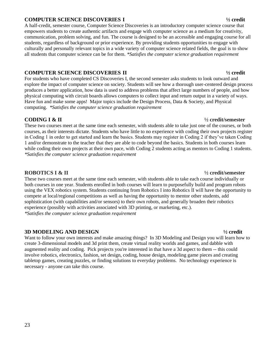#### **COMPUTER SCIENCE DISCOVERIES I ½ credit**

A half-credit, semester course, Computer Science Discoveries is an introductory computer science course that empowers students to create authentic artifacts and engage with computer science as a medium for creativity, communication, problem solving, and fun. The course is designed to be an accessible and engaging course for all students, regardless of background or prior experience. By providing students opportunities to engage with culturally and personally relevant topics in a wide variety of computer science related fields, the goal is to show all students that computer science can be for them. *\*Satisfies the computer science graduation requirement*

### **COMPUTER SCIENCE DISCOVERIES II ½ credit**

For students who have completed CS Discoveries I, the second semester asks students to look outward and explore the impact of computer science on society. Students will see how a thorough user-centered design process produces a better application, how data is used to address problems that affect large numbers of people, and how physical computing with circuit boards allows computers to collect input and return output in a variety of ways. Have fun and make some apps! Major topics include the Design Process, Data & Society, and Physical computing. *\*Satisfies the computer science graduation requirement*

### **CODING I & II ½ credit/semester**

These two courses meet at the same time each semester, with students able to take just one of the courses, or both courses, as their interests dictate. Students who have little to no experience with coding their own projects register in Coding 1 in order to get started and learn the basics. Students may register in Coding 2 if they've taken Coding 1 and/or demonstrate to the teacher that they are able to code beyond the basics. Students in both courses learn while coding their own projects at their own pace, with Coding 2 students acting as mentors to Coding 1 students. *\*Satisfies the computer science graduation requirement*

### **ROBOTICS I & II ½ credit/semester**

These two courses meet at the same time each semester, with students able to take each course individually or both courses in one year. Students enrolled in both courses will learn to purposefully build and program robots using the VEX robotics system. Students continuing from Robotics I into Robotics II will have the opportunity to compete at local/regional competitions as well as having the opportunity to mentor other students, add sophistication (with capabilities and/or sensors) to their own robots, and generally broaden their robotics experience (possibly with activities associated with 3D printing, or marketing, etc.). *\*Satisfies the computer science graduation requirement*

### **3D MODELING AND DESIGN ½ credit**

Want to follow your own interests and make amazing things? In 3D Modeling and Design you will learn how to create 3-dimensional models and 3d print them, create virtual reality worlds and games, and dabble with augmented reality and coding. Pick projects you're interested in that have a 3d aspect to them -- this could involve robotics, electronics, fashion, set design, coding, house design, modeling game pieces and creating tabletop games, creating puzzles, or finding solutions to everyday problems. No technology experience is necessary - anyone can take this course.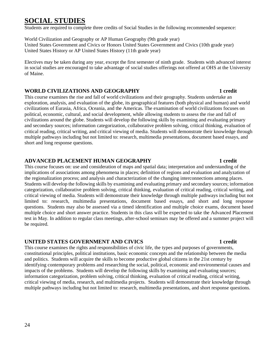# **SOCIAL STUDIES**

Students are required to complete three credits of Social Studies in the following recommended sequence:

World Civilization and Geography or AP Human Geography (9th grade year) United States Government and Civics or Honors United States Government and Civics (10th grade year) United States History or AP United States History (11th grade year)

Electives may be taken during any year, except the first semester of ninth grade. Students with advanced interest in social studies are encouraged to take advantage of social studies offerings not offered at OHS at the University of Maine.

### **WORLD CIVILIZATIONS AND GEOGRAPHY 1 credit**

This course examines the rise and fall of world civilizations and their geography. Students undertake an exploration, analysis, and evaluation of the globe, its geographical features (both physical and human) and world civilizations of Eurasia, Africa, Oceania, and the Americas. The examination of world civilizations focuses on political, economic, cultural, and social development, while allowing students to assess the rise and fall of civilizations around the globe. Students will develop the following skills by examining and evaluating primary and secondary sources; information categorization, collaborative problem solving, critical thinking, evaluation of critical reading, critical writing, and critical viewing of media. Students will demonstrate their knowledge through multiple pathways including but not limited to: research, multimedia presentations, document based essays, and short and long response questions.

### **ADVANCED PLACEMENT HUMAN GEOGRAPHY 1 credit**

This course focuses on: use and consideration of maps and spatial data; interpretation and understanding of the implications of associations among phenomena in places; definition of regions and evaluation and analyzation of the regionalization process; and analysis and characterization of the changing interconnections among places. Students will develop the following skills by examining and evaluating primary and secondary sources; information categorization, collaborative problem solving, critical thinking, evaluation of critical reading, critical writing, and critical viewing of media. Students will demonstrate their knowledge through multiple pathways including but not limited to: research, multimedia presentations, document based essays, and short and long response questions. Students may also be assessed via a timed identification and multiple choice exams, document based multiple choice and short answer practice. Students in this class will be expected to take the Advanced Placement test in May. In addition to regular class meetings, after-school seminars may be offered and a summer project will be required.

### **UNITED STATES GOVERNMENT AND CIVICS 1 credit**

This course examines the rights and responsibilities of civic life, the types and purposes of governments, constitutional principles, political institutions, basic economic concepts and the relationship between the media and politics. Students will acquire the skills to become productive global citizens in the 21st century by identifying contemporary problems and researching the social, political, economic and environmental causes and impacts of the problems. Students will develop the following skills by examining and evaluating sources; information categorization, problem solving, critical thinking, evaluation of critical reading, critical writing, critical viewing of media, research, and multimedia projects. Students will demonstrate their knowledge through multiple pathways including but not limited to: research, multimedia presentations, and short response questions.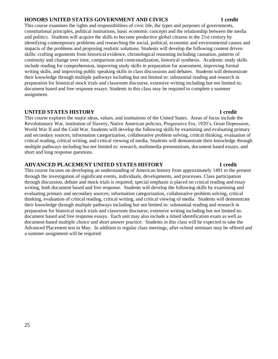#### **HONORS UNITED STATES GOVERNMENT AND CIVICS 1 credit**

This course examines the rights and responsibilities of civic life, the types and purposes of governments, constitutional principles, political institutions, basic economic concepts and the relationship between the media and politics. Students will acquire the skills to become productive global citizens in the 21st century by identifying contemporary problems and researching the social, political, economic and environmental causes and impacts of the problems and proposing realistic solutions. Students will develop the following content driven skills: crafting arguments from historical evidence, chronological reasoning including causation, patterns of continuity and change over time, comparison and contextualization, historical synthesis. Academic study skills include reading for comprehension, improving study skills in preparation for assessment, improving formal writing skills, and improving public speaking skills in class discussions and debates. Students will demonstrate their knowledge through multiple pathways including but not limited to: substantial reading and research in preparation for historical mock trials and classroom discourse, extensive writing including but not limited to; document based and free response essays. Students in this class may be required to complete a summer assignment.

#### **UNITED STATES HISTORY 1 credit**

This course explores the major ideas, values, and institutions of the United States. Areas of focus include the Revolutionary War, institution of Slavery, Native American policies, Progressive Era, 1920's, Great Depression, World War II and the Cold War. Students will develop the following skills by examining and evaluating primary and secondary sources; information categorization, collaborative problem solving, critical thinking, evaluation of critical reading, critical writing, and critical viewing of media. Students will demonstrate their knowledge through multiple pathways including but not limited to: research, multimedia presentations, document based essays, and short and long response questions.

### **ADVANCED PLACEMENT UNITED STATES HISTORY 1 credit**

This course focuses on developing an understanding of American history from approximately 1491 to the present through the investigation of significant events, individuals, developments, and processes. Class participation through discussion, debate and mock trials is required; special emphasis is placed on critical reading and essay writing, both document based and free response. Students will develop the following skills by examining and evaluating primary and secondary sources; information categorization, collaborative problem solving, critical thinking, evaluation of critical reading, critical writing, and critical viewing of media. Students will demonstrate their knowledge through multiple pathways including but not limited to: substantial reading and research in preparation for historical mock trials and classroom discourse, extensive writing including but not limited to; document based and free response essays. Each unit may also include a timed identification exam as well as document-based multiple choice and short answer practice. Students in this class will be expected to take the Advanced Placement test in May. In addition to regular class meetings, after-school seminars may be offered and a summer assignment will be required.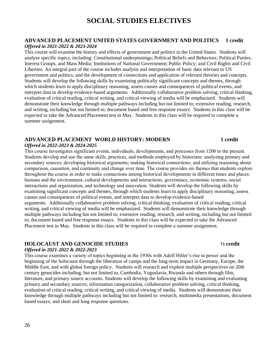#### **ADVANCED PLACEMENT UNITED STATES GOVERNMENT AND POLITICS 1 credit** *Offered in 2021-2022 & 2023-2024*

This course will examine the history and effects of government and politics in the United States. Students will analyze specific topics, including: Constitutional underpinnings; Political Beliefs and Behaviors; Political Parties, Interest Groups, and Mass Media; Institutions of National Government; Public Policy; and Civil Rights and Civil Liberties. An integral part of the course includes analysis and interpretation of basic data relevant to US government and politics, and the development of connections and application of relevant theories and concepts. Students will develop the following skills by examining politically significant concepts and themes, through which students learn to apply disciplinary reasoning, assess causes and consequences of political events, and interpret data to develop evidence-based arguments. Additionally collaborative problem solving, critical thinking, evaluation of critical reading, critical writing, and critical viewing of media will be emphasized. Students will demonstrate their knowledge through multiple pathways including but not limited to; extensive reading, research, and writing, including but not limited to; document based and free response essays. Students in this class will be expected to take the Advanced Placement test in May. Students in this class will be required to complete a summer assignment.

### **ADVANCED PLACEMENT WORLD HISTORY: MODERN 1 credit**

#### *Offered in 2022-2023 & 2024-2025*

This course investigates significant events, individuals, developments, and processes from 1200 to the present. Students develop and use the same skills, practices, and methods employed by historians: analyzing primary and secondary sources; developing historical arguments; making historical connections; and utilizing reasoning about comparison, causation, and continuity and change over time. The course provides six themes that students explore throughout the course in order to make connections among historical developments in different times and places: humans and the environment, cultural developments and interactions, governance, economic systems, social interactions and organization, and technology and innovation. Students will develop the following skills by examining significant concepts and themes, through which students learn to apply disciplinary reasoning, assess causes and consequences of political events, and interpret data to develop evidence-based arguments. Additionally collaborative problem solving, critical thinking, evaluation of critical reading, critical writing, and critical viewing of media will be emphasized. Students will demonstrate their knowledge through multiple pathways including but not limited to; extensive reading, research, and writing, including but not limited to; document based and free response essays. Students in this class will be expected to take the Advanced Placement test in May. Students in this class will be required to complete a summer assignment.

#### **HOLOCAUST AND GENOCIDE STUDIES ½ credit**

#### *Offered in 2021-2022 & 2022-2023*

This course examines a variety of topics beginning in the 1930s with Adolf Hitler's rise to power and the beginning of the holocaust through the liberation of camps and the long-term impact in Germany, Europe, the Middle East, and with global foreign policy. Students will research and explore multiple perspectives on 20th century genocides including, but not limited to, Cambodia, Yugoslavia, Rwanda and others through film, literature, and primary source accounts. Students will develop the following skills by examining and evaluating primary and secondary sources; information categorization, collaborative problem solving, critical thinking, evaluation of critical reading, critical writing, and critical viewing of media. Students will demonstrate their knowledge through multiple pathways including but not limited to: research, multimedia presentations, document based essays, and short and long response questions.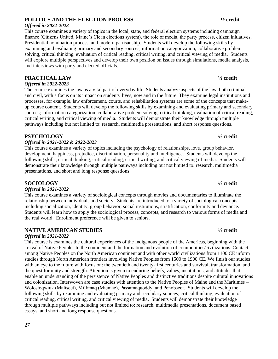### **POLITICS AND THE ELECTION PROCESS ½ credit**

#### *Offered in 2022-2023*

This course examines a variety of topics in the local, state, and federal election systems including campaign finance (Citizens United, Maine's Clean elections system), the role of media, the party process, citizen initiatives, Presidential nomination process, and modern partisanship. Students will develop the following skills by examining and evaluating primary and secondary sources; information categorization, collaborative problem solving, critical thinking, evaluation of critical reading, critical writing, and critical viewing of media. Students will explore multiple perspectives and develop their own position on issues through simulations, media analysis, and interviews with party and elected officials.

### **PRACTICAL LAW ½ credit**

*Offered in 2022-2023*

The course examines the law as a vital part of everyday life. Students analyze aspects of the law, both criminal and civil, with a focus on its impact on students' lives, now and in the future. They examine legal institutions and processes, for example, law enforcement, courts, and rehabilitation systems are some of the concepts that makeup course content. Students will develop the following skills by examining and evaluating primary and secondary sources; information categorization, collaborative problem solving, critical thinking, evaluation of critical reading, critical writing, and critical viewing of media. Students will demonstrate their knowledge through multiple pathways including but not limited to: research, multimedia presentations, and short response questions.

### **PSYCHOLOGY ½ credit**

#### *Offered in 2021-2022 & 2022-2023*

This course examines a variety of topics including the psychology of relationships, love, group behavior, development, happiness, prejudice, discrimination, personality and intelligence. Students will develop the following skills; critical thinking, critical reading, critical writing, and critical viewing of media. Students will demonstrate their knowledge through multiple pathways including but not limited to: research, multimedia presentations, and short and long response questions.

### **SOCIOLOGY ½ credit**

#### *Offered in 2021-2022*

This course examines a variety of sociological concepts through movies and documentaries to illuminate the relationship between individuals and society. Students are introduced to a variety of sociological concepts including socialization, identity, group behavior, social institutions, stratification, conformity and deviance. Students will learn how to apply the sociological process, concepts, and research to various forms of media and the real world. Enrollment preference will be given to seniors.

### **NATIVE AMERICAN STUDIES ½ credit**

#### *Offered in 2021-2022*

This course is examines the cultural experiences of the Indigenous people of the Americas, beginning with the arrival of Native Peoples to the continent and the formation and evolution of communities/civilizations. Contact among Native Peoples on the North American continent and with other world civilizations from 1100 CE inform studies through North American frontiers involving Native Peoples from 1500 to 1900 CE. We finish our studies with an eye to the future with focus on: the twentieth and twenty-first centuries and survival, transformation, and the quest for unity and strength. Attention is given to enduring beliefs, values, institutions, and attitudes that enable an understanding of the persistence of Native Peoples and distinctive traditions despite cultural innovations and colonization. Interwoven are case studies with attention to the Native Peoples of Maine and the Maritimes – Wolostoqwiuk (Maliseet), Mi'kmaq (Micmac), Passamaquoddy, and Penobscot. Students will develop the following skills by examining and evaluating primary and secondary sources; critical thinking, evaluation of critical reading, critical writing, and critical viewing of media. Students will demonstrate their knowledge through multiple pathways including but not limited to: research, multimedia presentations, document based essays, and short and long response questions.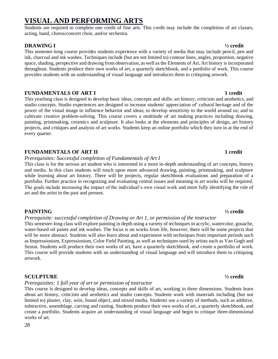# **VISUAL AND PERFORMING ARTS**

Students are required to complete one credit of fine arts. This credit may include the completion of art classes, acting, band, chorus/concert choir, and/or orchestra.

### **DRAWING I ½ credit**

This semester-long course provides students experience with a variety of media that may include pencil, pen and ink, charcoal and ink washes. Techniques include (but are not limited to) contour lines, angles, proportion, negative space, shading, perspective and drawing from observation, as well as the Elements of Art. Art history is incorporated throughout. Students produce their own works of art, a quarterly sketchbook, and a portfolio of work. This course provides students with an understanding of visual language and introduces them to critiquing artwork.

#### **FUNDAMENTALS OF ART I 1 credit**

This yearlong class is designed to develop basic ideas, concepts and skills: art history, criticism and aesthetics, and studio concepts. Studio experiences are designed to increase students' appreciation of' cultural heritage and of the power of the visual image to influence behavior and ideas; to develop sensitivity to the world around us; and to cultivate creative problem-solving. This course covers a multitude of art making practices including drawing, painting, printmaking, ceramics and sculpture. It also looks at the elements and principles of design, art history projects, and critiques and analysis of art works. Students keep an online portfolio which they turn in at the end of every quarter.

### **FUNDAMENTALS OF ART II 1 credit**

### *Prerequisites: Successful completion of Fundamentals of Art I*

This class is for the serious art student who is interested in a more in-depth understanding of art concepts, history and media. In this class students will touch upon more advanced drawing, painting, printmaking, and sculpture while learning about art history. There will be projects, regular sketchbook evaluations and preparation of a portfolio. Further practice in recognizing and evaluating central issues and meaning in art works will be required. The goals include increasing the impact of the individual's own visual work and more fully identifying the role of art and the artist in the past and present.

### **PAINTING ½ credit**

### *Prerequisite: successful completion of Drawing or Art 1, or permission of the instructor*

This semester-long class will explore painting in depth using a variety of techniques in acrylic, watercolor, gouache, water-based oil paints and ink washes. The focus is on works from life, however, there will be some projects that will be more abstract. Students will also learn about and experiment with techniques from important periods such as Impressionism, Expressionism, Color Field Painting, as well as techniques used by artists such as Van Gogh and Seurat. Students will produce their own works of art, have a quarterly sketchbook, and create a portfolio of work. This course will provide students with an understanding of visual language and will introduce them to critiquing artwork.

### **SCULPTURE ½ credit**

### *Prerequisites: 1 full year of art or permission of instructor*

This course is designed to develop ideas, concepts and skills of art, working in three dimensions. Students learn about art history, criticism and aesthetics and studio concepts. Students work with materials including (but not limited to) plaster, clay, wire, found object, and mixed media. Students use a variety of methods, such as additive, subtractive, assemblage, carving and casting. Students produce their own works of art, a quarterly sketchbook, and create a portfolio. Students acquire an understanding of visual language and begin to critique three-dimensional works of art.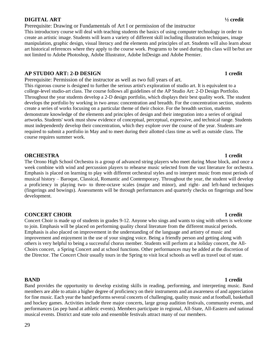#### **DIGITAL ART ½ credit**

Prerequisite: Drawing or Fundamentals of Art I or permission of the instructor

This introductory course will deal with teaching students the basics of using computer technology in order to create an artistic image. Students will learn a variety of different skill including illustration techniques, image manipulation, graphic design, visual literacy and the elements and principles of art. Students will also learn about art historical references where they apply to the course work. Programs to be used during this class will be/but are not limited to Adobe Photoshop, Adobe Illustrator, Adobe InDesign and Adobe Premier.

#### **AP STUDIO ART: 2-D DESIGN 1 credit**

Prerequisite: Permission of the instructor as well as two full years of art.

This rigorous course is designed to further the serious artist's exploration of studio art. It is equivalent to a college-level studio-art class. The course follows all guidelines of the AP Studio Art: 2-D Design Portfolio. Throughout the year students develop a 2-D design portfolio, which displays their best quality work. The student develops the portfolio by working in two areas: concentration and breadth. For the concentration section, students create a series of works focusing on a particular theme of their choice. For the breadth section, students demonstrate knowledge of the elements and principles of design and their integration into a series of original artworks. Students' work must show evidence of conceptual, perceptual, expressive, and technical range. Students must independently develop their concentration, which they explore over the course of the year. Students are required to submit a portfolio in May and to meet during their allotted class time as well as outside class. The course requires summer work.

### **ORCHESTRA 1 credit**

The Orono High School Orchestra is a group of advanced string players who meet during Muse block, and once a week combine with wind and percussion players to rehearse music selected from the vast literature for orchestra. Emphasis is placed on learning to play with different orchestral styles and to interpret music from most periods of musical history – Baroque, Classical, Romantic and Contemporary. Throughout the year, the student will develop a proficiency in playing two- to three-octave scales (major and minor), and right- and left-hand techniques (fingerings and bowings). Assessments will be through performances and quarterly checks on fingerings and bow development.

### **CONCERT CHOIR 1** credit

Concert Choir is made up of students in grades 9-12. Anyone who sings and wants to sing with others is welcome to join. Emphasis will be placed on performing quality choral literature from the different musical periods. Emphasis is also placed on improvement in the understanding of the language and artistry of music and improvement and enjoyment in the use of your singing voice. Being a friendly person and getting along with others is very helpful to being a successful chorus member. Students will perform at a holiday concert, the All-Choirs concert, a Spring Concert and at school functions. Other performances may be added at the discretion of the Director. The Concert Choir usually tours in the Spring to visit local schools as well as travel out of state.

**BAND 1 credit** Band provides the opportunity to develop existing skills in reading, performing, and interpreting music. Band members are able to attain a higher degree of proficiency on their instruments and an awareness of and appreciation for fine music. Each year the band performs several concerts of challenging, quality music and at football, basketball and hockey games. Activities include three major concerts, large group audition festivals, community events, and performances (as pep band at athletic events). Members participate in regional, All-State, All-Eastern and national musical events. District and state solo and ensemble festivals attract many of our members.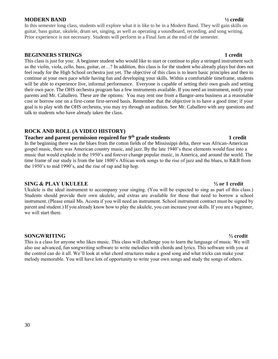#### **MODERN BAND ½ credit**

In this semester long class, students will explore what it is like to be in a Modern Band. They will gain skills on guitar, bass guitar, ukulele, drum set, singing, as well as operating a soundboard, recording, and song writing. Prior experience is not necessary. Students will perform in a Final Jam at the end of the semester.

#### **BEGINNERS STRINGS 1 credit**

This class is just for you: A beginner student who would like to start or continue to play a stringed instrument such as the violin, viola, cello, bass, guitar, or…? In addition, this class is for the student who already plays but does not feel ready for the High School orchestra just yet. The objective of this class is to learn basic principles and then to continue at your own pace while having fun and developing your skills. Within a comfortable timeframe, students will be able to experience live, informal performance. Everyone is capable of setting their own goals and setting their own pace. The OHS orchestra program has a few instruments available. If you need an instrument, notify your parents and Mr. Caballero. These are the options: You may rent one from a Bangor-area business at a reasonable cost or borrow one on a first-come first-served basis. Remember that the objective is to have a good time; if your goal is to play with the OHS orchestra, you may try through an audition. See Mr. Caballero with any questions and talk to students who have already taken the class.

### **ROCK AND ROLL (A VIDEO HISTORY)**

### **Teacher and parent permission required for 9th grade students 1 credit**

In the beginning there was the blues from the cotton fields of the Mississippi delta, there was African-American gospel music, there was American country music, and jazz. By the late 1940's these elements would fuse into a music that would explode in the 1950's and forever change popular music, in America, and around the world. The time frame of our study is from the late 1800's African work songs to the rise of jazz and the blues, to R&B from the 1950's to mid 1990's, and the rise of rap and hip hop.

#### **SING & PLAY UKULELE ½ or 1 credit**

Ukulele is the ideal instrument to accompany your singing. (You will be expected to sing as part of this class.) Students should provide their own ukulele, and extras are available for those that need to borrow a school instrument. (Please email Ms. Acosta if you will need an instrument. School instrument contract must be signed by parent and student.) If you already know how to play the ukulele, you can increase your skills. If you are a beginner, we will start there.

#### **SONGWRITING ½ credit**

This is a class for anyone who likes music. This class will challenge you to learn the language of music. We will also use advanced, fun songwriting software to write melodies with chords and lyrics. This software with you at the control can do it all. We'll look at what chord structures make a good song and what tricks can make your melody memorable. You will have lots of opportunity to write your own songs and study the songs of others.

### 30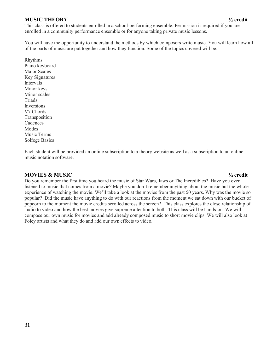#### **MUSIC THEORY ½ credit**

This class is offered to students enrolled in a school-performing ensemble. Permission is required if you are enrolled in a community performance ensemble or for anyone taking private music lessons.

You will have the opportunity to understand the methods by which composers write music. You will learn how all of the parts of music are put together and how they function. Some of the topics covered will be:

Rhythms Piano keyboard Major Scales Key Signatures Intervals Minor keys Minor scales Triads **Inversions** V7 Chords Transposition Cadences **Modes** Music Terms Solfege Basics

Each student will be provided an online subscription to a theory website as well as a subscription to an online music notation software.

#### **MOVIES & MUSIC ½ credit**

Do you remember the first time you heard the music of Star Wars, Jaws or The Incredibles? Have you ever listened to music that comes from a movie? Maybe you don't remember anything about the music but the whole experience of watching the movie. We'll take a look at the movies from the past 50 years. Why was the movie so popular? Did the music have anything to do with our reactions from the moment we sat down with our bucket of popcorn to the moment the movie credits scrolled across the screen? This class explores the close relationship of audio to video and how the best movies give supreme attention to both. This class will be hands-on. We will compose our own music for movies and add already composed music to short movie clips. We will also look at Foley artists and what they do and add our own effects to video.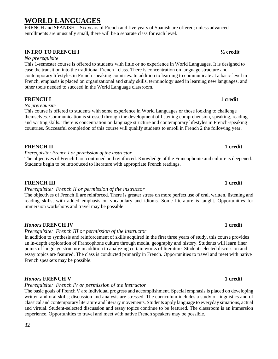# **WORLD LANGUAGES**

FRENCH and SPANISH – Six years of French and five years of Spanish are offered; unless advanced enrollments are unusually small, there will be a separate class for each level.

### **INTRO TO FRENCH I ½ credit**

#### *No prerequisite*

This 1-semester course is offered to students with little or no experience in World Languages. It is designed to ease the transition into the traditional French I class. There is concentration on language structure and contemporary lifestyles in French-speaking countries. In addition to learning to communicate at a basic level in French, emphasis is placed on organizational and study skills, terminology used in learning new languages, and other tools needed to succeed in the World Language classroom.

### **FRENCH I 1** credit

#### *No prerequisite*

This course is offered to students with some experience in World Languages or those looking to challenge themselves. Communication is stressed through the development of listening comprehension, speaking, reading and writing skills. There is concentration on language structure and contemporary lifestyles in French-speaking countries. Successful completion of this course will qualify students to enroll in French 2 the following year.

### **FRENCH II 1** credit

*Prerequisite: French I or permission of the instructor* 

The objectives of French I are continued and reinforced. Knowledge of the Francophonie and culture is deepened. Students begin to be introduced to literature with appropriate French readings.

#### **FRENCH III 1** credit

#### *Prerequisite: French II or permission of the instructor*

The objectives of French II are reinforced. There is greater stress on more perfect use of oral, written, listening and reading skills, with added emphasis on vocabulary and idioms. Some literature is taught. Opportunities for immersion workshops and travel may be possible.

#### *Honors* **FRENCH IV 1 credit**

#### *Prerequisite: French III or permission of the instructor*

In addition to synthesis and reinforcement of skills acquired in the first three years of study, this course provides an in-depth exploration of Francophone culture through media, geography and history. Students will learn finer points of language structure in addition to analyzing certain works of literature. Student selected discussion and essay topics are featured. The class is conducted primarily in French. Opportunities to travel and meet with native French speakers may be possible.

### *Honors* **FRENCH V 1 credit**

#### *Prerequisite: French IV or permission of the instructor*

The basic goals of French V are individual progress and accomplishment. Special emphasis is placed on developing written and oral skills; discussion and analysis are stressed. The curriculum includes a study of linguistics and of classical and contemporary literature and literary movements. Students apply language to everyday situations, actual and virtual. Student-selected discussion and essay topics continue to be featured. The classroom is an immersion experience. Opportunities to travel and meet with native French speakers may be possible.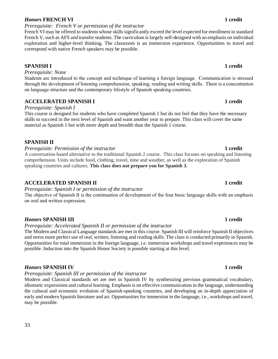### *Honors* **FRENCH VI 1 credit**

*Prerequisite: French V or permission of the instructor*

#### French VI may be offered to students whose skills significantly exceed the level expected for enrollment in standard French V, such as AFS and transfer students. The curriculum is largely self-designed with an emphasis on individual exploration and higher-level thinking. The classroom is an immersion experience. Opportunities to travel and correspond with native French speakers may be possible.

### **SPANISH I 1 credit**

*Prerequisite: None* 

#### Students are introduced to the concept and technique of learning a foreign language. Communication is stressed through the development of listening comprehension, speaking, reading and writing skills. There is a concentration on language structure and the contemporary lifestyle of Spanish speaking countries.

### **ACCELERATED SPANISH I 1 credit**

#### *Prerequisite: Spanish I*

This course is designed for students who have completed Spanish 1 but do not feel that they have the necessary skills to succeed in the next level of Spanish and want another year to prepare. This class will cover the same material as Spanish 1 but with more depth and breadth than the Spanish 1 course.

### **SPANISH II**

#### *Prerequisite: Permission of the instructor* **1 credit**

A conversation-based alternative to the traditional Spanish 2 course. This class focuses on speaking and listening comprehension. Units include food, clothing, travel, time and weather, as well as the exploration of Spanish speaking countries and cultures. **This class does not prepare you for Spanish 3.**

### **ACCELERATED SPANISH II 1 credit**

*Prerequisite: Spanish I or permission of the instructor* 

The objective of Spanish II is the continuation of development of the four basic language skills with an emphasis on oral and written expression.

### *Honors* **SPANISH III 1 credit**

### *Prerequisite: Accelerated Spanish II or permission of the instructor*

The Modern and Classical Language standards are met in this course. Spanish III will reinforce Spanish II objectives and stress more perfect use of oral, written, listening and reading skills. The class is conducted primarily in Spanish. Opportunities for total immersion in the foreign language, i.e. immersion workshops and travel experiences may be possible. Induction into the Spanish Honor Society is possible starting at this level.

### *Honors* **SPANISH IV 1 credit**

### *Prerequisite: Spanish III or permission of the instructor*

Modern and Classical standards set are met in Spanish IV by synthesizing previous grammatical vocabulary, idiomatic expressions and cultural learning. Emphasis is on effective communication in the language, understanding the cultural and economic evolution of Spanish-speaking countries, and developing an in-depth appreciation of early and modern Spanish literature and art. Opportunities for immersion in the language, i.e., workshops and travel, may be possible.